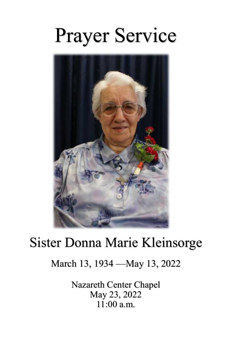# Prayer Service



## Sister Donna Marie Kleinsorge

### March 13, 1934 —May 13, 2022

Nazareth Center Chapel May 23, 2022  $11:00$  a.m.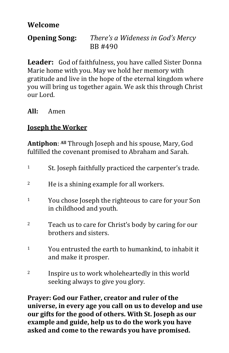#### **Welcome**

#### **Opening Song:** *There's a Wideness in God's Mercy* BB #490

**Leader:** God of faithfulness, you have called Sister Donna Marie home with you. May we hold her memory with gratitude and live in the hope of the eternal kingdom where you will bring us together again. We ask this through Christ our Lord.

#### **All:** Amen

#### **Joseph the Worker**

**Antiphon**: **All** Through Joseph and his spouse, Mary, God fulfilled the covenant promised to Abraham and Sarah.

<sup>1</sup> St. Joseph faithfully practiced the carpenter's trade. <sup>2</sup> He is a shining example for all workers. <sup>1</sup> You chose Joseph the righteous to care for your Son in childhood and youth. <sup>2</sup> Teach us to care for Christ's body by caring for our brothers and sisters. <sup>1</sup> You entrusted the earth to humankind, to inhabit it and make it prosper. <sup>2</sup> Inspire us to work wholeheartedly in this world seeking always to give you glory.

**Prayer: God our Father, creator and ruler of the universe, in every age you call on us to develop and use our gifts for the good of others. With St. Joseph as our example and guide, help us to do the work you have asked and come to the rewards you have promised.**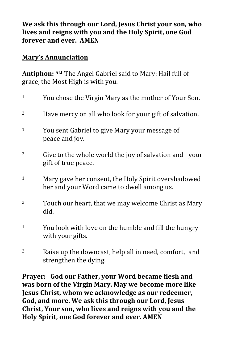**We ask this through our Lord, Jesus Christ your son, who lives and reigns with you and the Holy Spirit, one God forever and ever. AMEN**

#### **Mary's Annunciation**

**Antiphon: ALL** The Angel Gabriel said to Mary: Hail full of grace, the Most High is with you.

- <sup>1</sup> You chose the Virgin Mary as the mother of Your Son. <sup>2</sup> Have mercy on all who look for your gift of salvation. <sup>1</sup> You sent Gabriel to give Mary your message of peace and joy. <sup>2</sup> Give to the whole world the joy of salvation and your gift of true peace. <sup>1</sup> Mary gave her consent, the Holy Spirit overshadowed her and your Word came to dwell among us.  $2^2$  Touch our heart, that we may welcome Christ as Mary did.  $1$  You look with love on the humble and fill the hungry with your gifts.
- $2^2$  Raise up the downcast, help all in need, comfort, and strengthen the dying.

**Prayer: God our Father, your Word became flesh and was born of the Virgin Mary. May we become more like Jesus Christ, whom we acknowledge as our redeemer, God, and more. We ask this through our Lord, Jesus Christ, Your son, who lives and reigns with you and the Holy Spirit, one God forever and ever. AMEN**